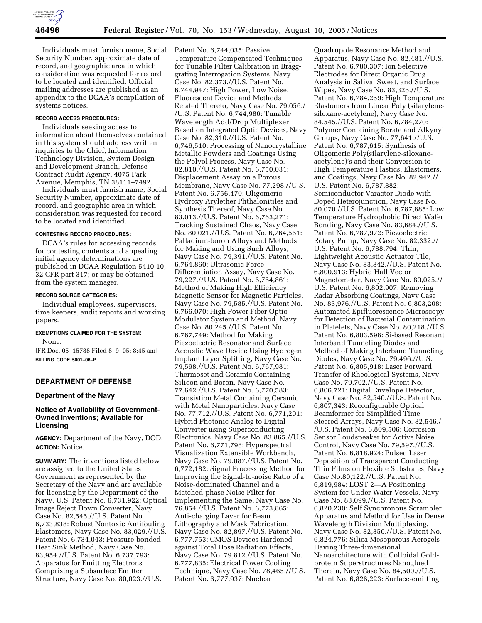

Individuals must furnish name, Social Security Number, approximate date of record, and geographic area in which consideration was requested for record to be located and identified. Official mailing addresses are published as an appendix to the DCAA's compilation of systems notices.

## **RECORD ACCESS PROCEDURES:**

Individuals seeking access to information about themselves contained in this system should address written inquiries to the Chief, Information Technology Division, System Design and Development Branch, Defense Contract Audit Agency, 4075 Park Avenue, Memphis, TN 38111–7492.

Individuals must furnish name, Social Security Number, approximate date of record, and geographic area in which consideration was requested for record to be located and identified.

#### **CONTESTING RECORD PROCEDURES:**

DCAA's rules for accessing records, for contesting contents and appealing initial agency determinations are published in DCAA Regulation 5410.10; 32 CFR part 317; or may be obtained from the system manager.

#### **RECORD SOURCE CATEGORIES:**

Individual employees, supervisors, time keepers, audit reports and working papers.

## **EXEMPTIONS CLAIMED FOR THE SYSTEM:**

None. [FR Doc. 05–15788 Filed 8–9–05; 8:45 am]

**BILLING CODE 5001–06–P**

## **DEPARTMENT OF DEFENSE**

#### **Department of the Navy**

# **Notice of Availability of Government-Owned Inventions; Available for Licensing**

**AGENCY:** Department of the Navy, DOD. **ACTION:** Notice.

**SUMMARY:** The inventions listed below are assigned to the United States Government as represented by the Secretary of the Navy and are available for licensing by the Department of the Navy. U.S. Patent No. 6,731,922: Optical Image Reject Down Converter, Navy Case No. 82,545.//U.S. Patent No. 6,733,838: Robust Nontoxic Antifouling Elastomers, Navy Case No. 83,029.//U.S. Patent No. 6,734,043: Pressure-bonded Heat Sink Method, Navy Case No. 83,954.//U.S. Patent No. 6,737,793: Apparatus for Emitting Electrons Comprising a Subsurface Emitter Structure, Navy Case No. 80,023.//U.S.

Patent No. 6,744,035: Passive, Temperature Compensated Techniques for Tunable Filter Calibration in Bragggrating Interrogation Systems, Navy Case No. 82,373.//U.S. Patent No. 6,744,947: High Power, Low Noise, Fluorescent Device and Methods Related Thereto, Navy Case No. 79,056./ /U.S. Patent No. 6,744,986: Tunable Wavelength Add/Drop Multiplexer Based on Integrated Optic Devices, Navy Case No. 82,310.//U.S. Patent No. 6,746,510: Processing of Nanocrystalline Metallic Powders and Coatings Using the Polyol Process, Navy Case No. 82,810.//U.S. Patent No. 6,750,031: Displacement Assay on a Porous Membrane, Navy Case No. 77,298.//U.S. Patent No. 6,756,470: Oligomeric Hydroxy Arylether Phthalonitiles and Synthesis Thereof, Navy Case No. 83,013.//U.S. Patent No. 6,763,271: Tracking Sustained Chaos, Navy Case No. 80,021.//U.S. Patent No. 6,764,561: Palladium-boron Alloys and Methods for Making and Using Such Alloys, Navy Case No. 79,391.//U.S. Patent No. 6,764,860: Ultrasonic Force Differentiation Assay, Navy Case No. 79,227.//U.S. Patent No. 6,764,861: Method of Making High Efficiency Magnetic Sensor for Magnetic Particles, Navy Case No. 79,585.//U.S. Patent No. 6,766,070: High Power Fiber Optic Modulator System and Method, Navy Case No. 80,245.//U.S. Patent No. 6,767,749: Method for Making Piezoelectric Resonator and Surface Acoustic Wave Device Using Hydrogen Implant Layer Splitting, Navy Case No. 79,598.//U.S. Patent No. 6,767,981: Thermoset and Ceramic Containing Silicon and Boron, Navy Case No. 77,642.//U.S. Patent No. 6,770,583: Transistion Metal Containing Ceramic with Metal Nanoparticles, Navy Case No. 77,712.//U.S. Patent No. 6,771,201: Hybrid Photonic Analog to Digital Converter using Superconducting Electronics, Navy Case No. 83,865.//U.S. Patent No. 6,771,798: Hyperspectral Visualization Extensible Workbench, Navy Case No. 79,087.//U.S. Patent No. 6,772,182: Signal Processing Method for Improving the Signal-to-noise Ratio of a Noise-dominated Channel and a Matched-phase Noise Filter for Implementing the Same, Navy Case No. 76,854.//U.S. Patent No. 6,773,865: Anti-charging Layer for Beam Lithography and Mask Fabrication, Navy Case No. 82,897.//U.S. Patent No. 6,777,753: CMOS Devices Hardened against Total Dose Radiation Effects, Navy Case No. 79,812.//U.S. Patent No. 6,777,835: Electrical Power Cooling Technique, Navy Case No. 78,465.//U.S. Patent No. 6,777,937: Nuclear

Quadrupole Resonance Method and Apparatus, Navy Case No. 82,481.//U.S. Patent No. 6,780,307: Ion Selective Electrodes for Direct Organic Drug Analysis in Saliva, Sweat, and Surface Wipes, Navy Case No. 83,326.//U.S. Patent No. 6,784,259: High Temperature Elastomers from Linear Poly (silarylenesiloxane-acetylene), Navy Case No. 84,545.//U.S. Patent No. 6,784,270: Polymer Containing Borate and Alkynyl Groups, Navy Case No. 77,641.//U.S. Patent No. 6,787,615: Synthesis of Oligomeric Poly(silarylene-siloxaneacetylene)'s and their Conversion to High Temperature Plastics, Elastomers, and Coatings, Navy Case No. 82,942.// U.S. Patent No. 6,787,882: Semiconductor Varactor Diode with Doped Heterojunction, Navy Case No. 80,070.//U.S. Patent No. 6,787,885: Low Temperature Hydrophobic Direct Wafer Bonding, Navy Case No. 83,684.//U.S. Patent No. 6,787,972: Piezoelectric Rotary Pump, Navy Case No. 82,332.// U.S. Patent No. 6,788,794: Thin, Lightweight Acoustic Actuator Tile, Navy Case No. 83,842.//U.S. Patent No. 6,800,913: Hybrid Hall Vector Magnetometer, Navy Case No. 80,025.// U.S. Patent No. 6,802,907: Removing Radar Absorbing Coatings, Navy Case No. 83,976.//U.S. Patent No. 6,803,208: Automated Epifluorescence Microscopy for Detection of Bacterial Contamination in Platelets, Navy Case No. 80,218.//U.S. Patent No. 6,803,598: Si-based Resonant Interband Tunneling Diodes and Method of Making Interband Tunneling Diodes, Navy Case No. 79,496.//U.S. Patent No. 6,805,918: Laser Forward Transfer of Rheological Systems, Navy Case No. 79,702.//U.S. Patent No. 6,806,721: Digital Envelope Detector, Navy Case No. 82,540.//U.S. Patent No. 6,807,343: Reconfigurable Optical Beamformer for Simplified Time Steered Arrays, Navy Case No. 82,546./ /U.S. Patent No. 6,809,506: Corrosion Sensor Loudspeaker for Active Noise Control, Navy Case No. 79,597.//U.S. Patent No. 6,818,924: Pulsed Laser Deposition of Transparent Conducting Thin Films on Flexible Substrates, Navy Case No.80,122.//U.S. Patent No. 6,819,984: LOST 2—A Positioning System for Under Water Vessels, Navy Case No. 83,099.//U.S. Patent No. 6,820,230: Self Synchronous Scrambler Apparatus and Method for Use in Dense Wavelength Division Multiplexing, Navy Case No. 82,350.//U.S. Patent No. 6,824,776: Silica Mesoporous Aerogels Having Three-dimensional Nanoarchitecture with Colloidal Goldprotein Superstructures Nanoglued Therein, Navy Case No. 84,500.//U.S. Patent No. 6,826,223: Surface-emitting